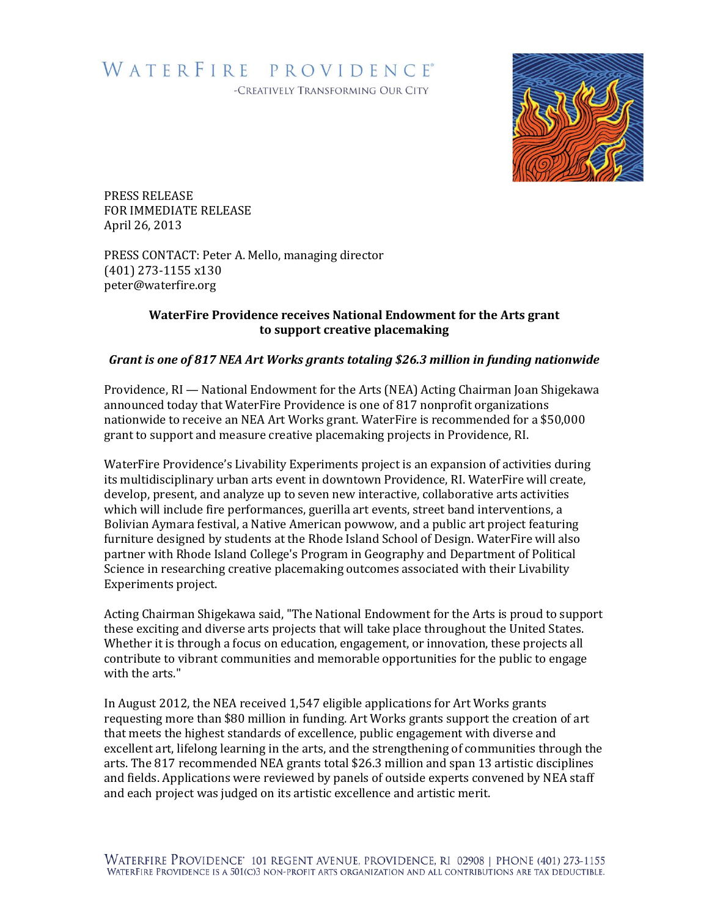## WATERFIRE PROVIDENCE®

-CREATIVELY TRANSFORMING OUR CITY



PRESS RELEASE FOR IMMEDIATE RELEASE April 26, 2013

PRESS CONTACT: Peter A. Mello, managing director (401) 273-1155 x130 peter@waterfire.org

## **WaterFire Providence receives National Endowment for the Arts grant to support creative placemaking**

## *Grant is one of 817 NEA Art Works grants totaling \$26.3 million in funding nationwide*

Providence, RI — National Endowment for the Arts (NEA) Acting Chairman Joan Shigekawa announced today that WaterFire Providence is one of 817 nonprofit organizations nationwide to receive an NEA Art Works grant. WaterFire is recommended for a \$50,000 grant to support and measure creative placemaking projects in Providence, RI.

WaterFire Providence's Livability Experiments project is an expansion of activities during its multidisciplinary urban arts event in downtown Providence, RI. WaterFire will create, develop, present, and analyze up to seven new interactive, collaborative arts activities which will include fire performances, guerilla art events, street band interventions, a Bolivian Aymara festival, a Native American powwow, and a public art project featuring furniture designed by students at the Rhode Island School of Design. WaterFire will also partner with Rhode Island College's Program in Geography and Department of Political Science in researching creative placemaking outcomes associated with their Livability Experiments project.

Acting Chairman Shigekawa said, "The National Endowment for the Arts is proud to support these exciting and diverse arts projects that will take place throughout the United States. Whether it is through a focus on education, engagement, or innovation, these projects all contribute to vibrant communities and memorable opportunities for the public to engage with the arts."

In August 2012, the NEA received 1,547 eligible applications for Art Works grants requesting more than \$80 million in funding. Art Works grants support the creation of art that meets the highest standards of excellence, public engagement with diverse and excellent art, lifelong learning in the arts, and the strengthening of communities through the arts. The 817 recommended NEA grants total \$26.3 million and span 13 artistic disciplines and fields. Applications were reviewed by panels of outside experts convened by NEA staff and each project was judged on its artistic excellence and artistic merit.